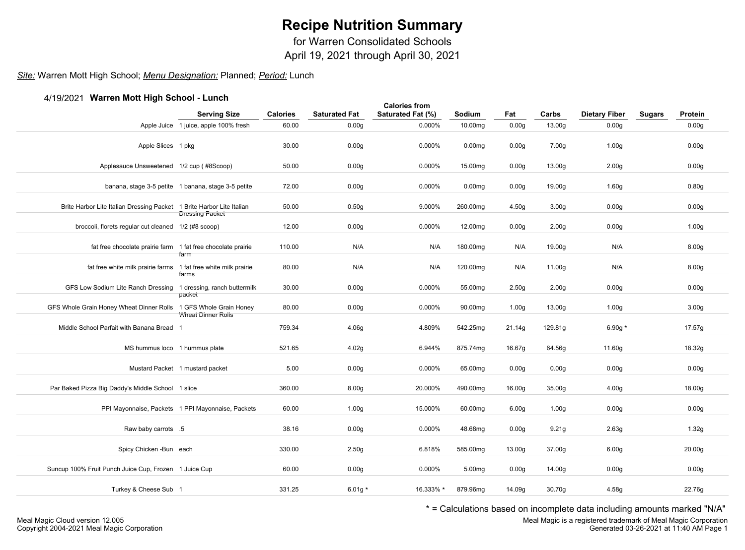for Warren Consolidated Schools

April 19, 2021 through April 30, 2021

### *Site:* Warren Mott High School; *Menu Designation:* Planned; *Period:* Lunch

### 4/19/2021 **Warren Mott High School - Lunch**

| $+$ , $3$ , $202$ , watten wou right ochoor - Lanch                   | <b>Serving Size</b>                                 | <b>Calories</b> | <b>Saturated Fat</b> | <b>Calories from</b><br>Saturated Fat (%) | Sodium             | Fat               | Carbs              | <b>Dietary Fiber</b> | <b>Sugars</b> | Protein            |  |
|-----------------------------------------------------------------------|-----------------------------------------------------|-----------------|----------------------|-------------------------------------------|--------------------|-------------------|--------------------|----------------------|---------------|--------------------|--|
|                                                                       | Apple Juice 1 juice, apple 100% fresh               | 60.00           | 0.00 <sub>g</sub>    | 0.000%                                    | 10.00mg            | 0.00 <sub>g</sub> | 13.00g             | 0.00 <sub>g</sub>    |               | 0.00 <sub>g</sub>  |  |
| Apple Slices 1 pkg                                                    |                                                     | 30.00           | 0.00 <sub>g</sub>    | 0.000%                                    | 0.00 <sub>mq</sub> | 0.00 <sub>g</sub> | 7.00 <sub>g</sub>  | 1.00 <sub>g</sub>    |               | 0.00 <sub>g</sub>  |  |
| Applesauce Unsweetened 1/2 cup (#8Scoop)                              |                                                     | 50.00           | 0.00 <sub>g</sub>    | 0.000%                                    | 15.00mg            | 0.00 <sub>g</sub> | 13.00g             | 2.00 <sub>g</sub>    |               | 0.00 <sub>g</sub>  |  |
|                                                                       | banana, stage 3-5 petite 1 banana, stage 3-5 petite | 72.00           | 0.00 <sub>g</sub>    | 0.000%                                    | 0.00 <sub>mg</sub> | 0.00 <sub>g</sub> | 19.00g             | 1.60g                |               | 0.80g              |  |
| Brite Harbor Lite Italian Dressing Packet 1 Brite Harbor Lite Italian | <b>Dressing Packet</b>                              | 50.00           | 0.50g                | 9.000%                                    | 260.00mg           | 4.50g             | 3.00 <sub>g</sub>  | 0.00 <sub>g</sub>    |               | 0.00 <sub>g</sub>  |  |
| broccoli, florets regular cut cleaned 1/2 (#8 scoop)                  |                                                     | 12.00           | 0.00 <sub>g</sub>    | 0.000%                                    | 12.00mg            | 0.00 <sub>g</sub> | 2.00 <sub>g</sub>  | 0.00 <sub>g</sub>    |               | 1.00 <sub>g</sub>  |  |
| fat free chocolate prairie farm 1 fat free chocolate prairie          | farm                                                | 110.00          | N/A                  | N/A                                       | 180.00mg           | N/A               | 19.00g             | N/A                  |               | 8.00 <sub>g</sub>  |  |
| fat free white milk prairie farms 1 fat free white milk prairie       | farms                                               | 80.00           | N/A                  | N/A                                       | 120.00mg           | N/A               | 11.00g             | N/A                  |               | 8.00g              |  |
| GFS Low Sodium Lite Ranch Dressing 1 dressing, ranch buttermilk       | packet                                              | 30.00           | 0.00 <sub>g</sub>    | 0.000%                                    | 55.00mg            | 2.50 <sub>g</sub> | 2.00 <sub>g</sub>  | 0.00 <sub>g</sub>    |               | 0.00 <sub>g</sub>  |  |
| GFS Whole Grain Honey Wheat Dinner Rolls 1 GFS Whole Grain Honey      | <b>Wheat Dinner Rolls</b>                           | 80.00           | 0.00 <sub>g</sub>    | 0.000%                                    | 90.00mg            | 1.00 <sub>g</sub> | 13.00g             | 1.00 <sub>g</sub>    |               | 3.00 <sub>g</sub>  |  |
| Middle School Parfait with Banana Bread 1                             |                                                     | 759.34          | 4.06g                | 4.809%                                    | 542.25mg           | 21.14g            | 129.81g            | 6.90g $*$            |               | 17.57g             |  |
| MS hummus loco 1 hummus plate                                         |                                                     | 521.65          | 4.02g                | 6.944%                                    | 875.74mg           | 16.67g            | 64.56g             | 11.60g               |               | 18.32g             |  |
|                                                                       | Mustard Packet 1 mustard packet                     | 5.00            | 0.00 <sub>g</sub>    | 0.000%                                    | 65.00mg            | 0.00 <sub>g</sub> | 0.00 <sub>g</sub>  | 0.00 <sub>g</sub>    |               | 0.00g              |  |
| Par Baked Pizza Big Daddy's Middle School 1 slice                     |                                                     | 360.00          | 8.00g                | 20.000%                                   | 490.00mg           | 16.00g            | 35.00g             | 4.00g                |               | 18.00g             |  |
|                                                                       | PPI Mayonnaise, Packets 1 PPI Mayonnaise, Packets   | 60.00           | 1.00 <sub>g</sub>    | 15.000%                                   | 60.00mg            | 6.00 <sub>g</sub> | 1.00 <sub>g</sub>  | 0.00 <sub>g</sub>    |               | 0.00 <sub>g</sub>  |  |
| Raw baby carrots .5                                                   |                                                     | 38.16           | 0.00 <sub>g</sub>    | 0.000%                                    | 48.68mg            | 0.00 <sub>g</sub> | 9.21 <sub>g</sub>  | 2.63g                |               | 1.32g              |  |
| Spicy Chicken - Bun each                                              |                                                     | 330.00          | 2.50 <sub>g</sub>    | 6.818%                                    | 585.00mg           | 13.00g            | 37.00g             | 6.00 <sub>g</sub>    |               | 20.00 <sub>g</sub> |  |
| Suncup 100% Fruit Punch Juice Cup, Frozen 1 Juice Cup                 |                                                     | 60.00           | 0.00 <sub>g</sub>    | 0.000%                                    | 5.00mg             | 0.00 <sub>g</sub> | 14.00g             | 0.00 <sub>g</sub>    |               | 0.00g              |  |
| Turkey & Cheese Sub 1                                                 |                                                     | 331.25          | 6.01g $*$            | 16.333% *                                 | 879.96mg           | 14.09g            | 30.70 <sub>g</sub> | 4.58g                |               | 22.76g             |  |
|                                                                       |                                                     |                 |                      |                                           |                    |                   |                    |                      |               |                    |  |

\* = Calculations based on incomplete data including amounts marked "N/A"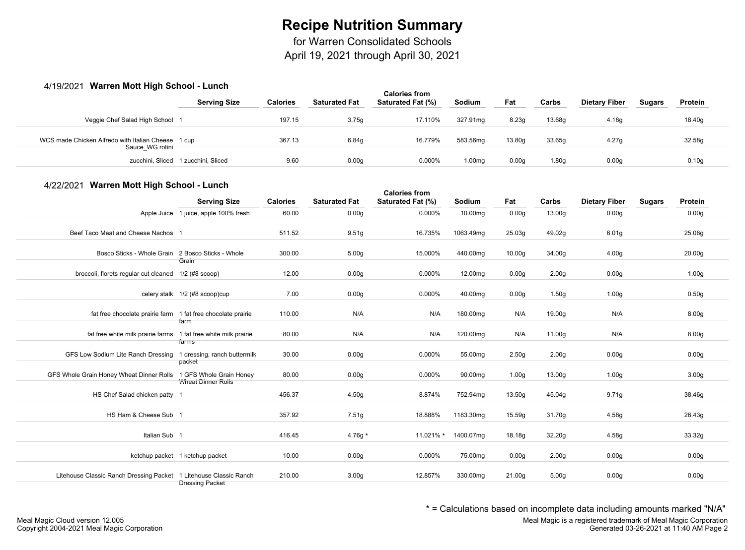for Warren Consolidated Schools

April 19, 2021 through April 30, 2021

#### 4/19/2021 **Warren Mott High School - Lunch**

| <b>Serving Size</b>                                |        | <b>Saturated Fat</b> | <b>Calories from</b><br>Saturated Fat (%) | <b>Sodium</b>      | Fat    | Carbs  | <b>Dietary Fiber</b> | <b>Sugars</b> | Protein           |  |
|----------------------------------------------------|--------|----------------------|-------------------------------------------|--------------------|--------|--------|----------------------|---------------|-------------------|--|
|                                                    | 197.15 | 3.75g                | 17.110%                                   | 327.91mg           | 8.23q  | 13.68g | 4.18g                |               | 18.40g            |  |
| WCS made Chicken Alfredo with Italian Cheese 1 cup | 367.13 | 6.84q                | 16.779%                                   | 583.56mg           | 13.80g | 33.65g | 4.27 <sub>a</sub>    |               | 32.58g            |  |
| zucchini, Sliced 1 zucchini, Sliced                | 9.60   | 0.00 <sub>g</sub>    | 0.000%                                    | 1.00 <sub>mq</sub> | 0.00q  | 1.80g  | 0.00 <sub>g</sub>    |               | 0.10 <sub>g</sub> |  |
|                                                    |        | <b>Calories</b>      |                                           |                    |        |        |                      |               |                   |  |

#### 4/22/2021 **Warren Mott High School - Lunch**

| $7/22/202$ random molt ingit concor - Lanon                       |                                 |                 |                      | <b>Calories from</b> |           |                    |                   |                      |               |                    |  |
|-------------------------------------------------------------------|---------------------------------|-----------------|----------------------|----------------------|-----------|--------------------|-------------------|----------------------|---------------|--------------------|--|
|                                                                   | <b>Serving Size</b>             | <b>Calories</b> | <b>Saturated Fat</b> | Saturated Fat (%)    | Sodium    | Fat                | Carbs             | <b>Dietary Fiber</b> | <b>Sugars</b> | Protein            |  |
| Apple Juice                                                       | 1 juice, apple 100% fresh       | 60.00           | 0.00 <sub>g</sub>    | 0.000%               | 10.00mg   | 0.00 <sub>g</sub>  | 13.00g            | 0.00 <sub>g</sub>    |               | 0.00 <sub>g</sub>  |  |
| Beef Taco Meat and Cheese Nachos 1                                |                                 | 511.52          | 9.51g                | 16.735%              | 1063.49mg | 25.03g             | 49.02g            | 6.01 <sub>g</sub>    |               | 25.06g             |  |
| Bosco Sticks - Whole Grain 2 Bosco Sticks - Whole                 | Grain                           | 300.00          | 5.00 <sub>g</sub>    | 15.000%              | 440.00mg  | 10.00 <sub>g</sub> | 34.00g            | 4.00 <sub>g</sub>    |               | 20.00 <sub>g</sub> |  |
| broccoli, florets regular cut cleaned 1/2 (#8 scoop)              |                                 | 12.00           | 0.00 <sub>g</sub>    | 0.000%               | 12.00mg   | 0.00 <sub>g</sub>  | 2.00 <sub>g</sub> | 0.00 <sub>g</sub>    |               | 1.00 <sub>g</sub>  |  |
|                                                                   | celery stalk 1/2 (#8 scoop)cup  | 7.00            | 0.00 <sub>g</sub>    | 0.000%               | 40.00mg   | 0.00 <sub>g</sub>  | 1.50 <sub>g</sub> | 1.00 <sub>g</sub>    |               | 0.50g              |  |
| fat free chocolate prairie farm 1 fat free chocolate prairie      |                                 | 110.00          | N/A                  | N/A                  | 180.00mg  | N/A                | 19.00g            | N/A                  |               | 8.00g              |  |
| fat free white milk prairie farms 1 fat free white milk prairie   | farm                            | 80.00           | N/A                  | N/A                  | 120.00mg  | N/A                | 11.00g            | N/A                  |               | 8.00 <sub>g</sub>  |  |
| GFS Low Sodium Lite Ranch Dressing 1 dressing, ranch buttermilk   | farms                           | 30.00           | 0.00 <sub>g</sub>    | 0.000%               | 55.00mg   | 2.50 <sub>g</sub>  | 2.00 <sub>g</sub> | 0.00 <sub>g</sub>    |               | 0.00 <sub>g</sub>  |  |
| GFS Whole Grain Honey Wheat Dinner Rolls 1 GFS Whole Grain Honey  | packet                          | 80.00           | 0.00 <sub>g</sub>    | 0.000%               | 90.00mg   | 1.00 <sub>g</sub>  | 13.00g            | 1.00 <sub>g</sub>    |               | 3.00 <sub>g</sub>  |  |
| HS Chef Salad chicken patty 1                                     | <b>Wheat Dinner Rolls</b>       | 456.37          | 4.50 <sub>g</sub>    | 8.874%               | 752.94mg  | 13.50g             | 45.04g            | 9.71g                |               | 38.46g             |  |
| HS Ham & Cheese Sub 1                                             |                                 | 357.92          | 7.51g                | 18.888%              | 1183.30mg | 15.59g             | 31.70g            | 4.58g                |               | 26.43g             |  |
| Italian Sub 1                                                     |                                 | 416.45          | 4.76g $*$            | 11.021% *            | 1400.07mg | 18.18g             | 32.20g            | 4.58g                |               | 33.32g             |  |
|                                                                   | ketchup packet 1 ketchup packet | 10.00           | 0.00 <sub>g</sub>    | 0.000%               | 75.00mg   | 0.00 <sub>g</sub>  | 2.00 <sub>g</sub> | 0.00 <sub>g</sub>    |               | 0.00 <sub>g</sub>  |  |
| Litehouse Classic Ranch Dressing Packet 1 Litehouse Classic Ranch |                                 | 210.00          | 3.00 <sub>g</sub>    | 12.857%              | 330.00mg  | 21.00g             | 5.00 <sub>g</sub> | 0.00 <sub>g</sub>    |               | 0.00 <sub>g</sub>  |  |
|                                                                   | <b>Dressing Packet</b>          |                 |                      |                      |           |                    |                   |                      |               |                    |  |

\* = Calculations based on incomplete data including amounts marked "N/A"

Meal Magic is a registered trademark of Meal Magic Corporation Generated 03-26-2021 at 11:40 AM Page 2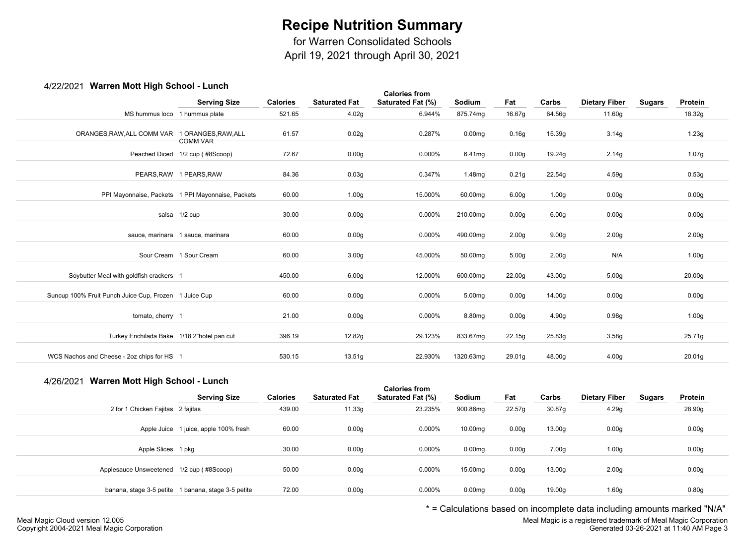for Warren Consolidated Schools

April 19, 2021 through April 30, 2021

#### 4/22/2021 **Warren Mott High School - Lunch**

| $\tau$ /22/2021 • Warron Mournigh Concor - Lanch      | <b>Serving Size</b>                               | <b>Calories</b> | <b>Saturated Fat</b> | <b>Calories from</b><br>Saturated Fat (%) | Sodium             | Fat               | Carbs             | <b>Dietary Fiber</b> | <b>Sugars</b> | Protein           |
|-------------------------------------------------------|---------------------------------------------------|-----------------|----------------------|-------------------------------------------|--------------------|-------------------|-------------------|----------------------|---------------|-------------------|
| MS hummus loco 1 hummus plate                         |                                                   | 521.65          | 4.02g                | 6.944%                                    | 875.74mg           | 16.67g            | 64.56g            | 11.60g               |               | 18.32g            |
| ORANGES, RAW, ALL COMM VAR 1 ORANGES, RAW, ALL        | <b>COMM VAR</b>                                   | 61.57           | 0.02g                | 0.287%                                    | 0.00 <sub>mg</sub> | 0.16g             | 15.39g            | 3.14g                |               | 1.23g             |
|                                                       | Peached Diced 1/2 cup (#8Scoop)                   | 72.67           | 0.00 <sub>g</sub>    | 0.000%                                    | 6.41mg             | 0.00g             | 19.24g            | 2.14g                |               | 1.07g             |
|                                                       | PEARS.RAW 1 PEARS.RAW                             | 84.36           | 0.03g                | 0.347%                                    | 1.48mg             | 0.21g             | 22.54g            | 4.59g                |               | 0.53g             |
|                                                       | PPI Mayonnaise, Packets 1 PPI Mayonnaise, Packets | 60.00           | 1.00 <sub>g</sub>    | 15.000%                                   | 60.00mg            | 6.00 <sub>g</sub> | 1.00 <sub>g</sub> | 0.00 <sub>g</sub>    |               | 0.00 <sub>g</sub> |
|                                                       | salsa 1/2 cup                                     | 30.00           | 0.00 <sub>g</sub>    | 0.000%                                    | 210.00mg           | 0.00 <sub>g</sub> | 6.00 <sub>g</sub> | 0.00 <sub>g</sub>    |               | 0.00 <sub>g</sub> |
|                                                       | sauce, marinara 1 sauce, marinara                 | 60.00           | 0.00 <sub>g</sub>    | 0.000%                                    | 490.00mg           | 2.00 <sub>g</sub> | 9.00 <sub>g</sub> | 2.00 <sub>g</sub>    |               | 2.00 <sub>g</sub> |
|                                                       | Sour Cream 1 Sour Cream                           | 60.00           | 3.00 <sub>g</sub>    | 45.000%                                   | 50.00mg            | 5.00 <sub>g</sub> | 2.00 <sub>g</sub> | N/A                  |               | 1.00 <sub>g</sub> |
| Soybutter Meal with goldfish crackers 1               |                                                   | 450.00          | 6.00 <sub>g</sub>    | 12.000%                                   | 600.00mg           | 22.00g            | 43.00g            | 5.00 <sub>g</sub>    |               | 20.00g            |
| Suncup 100% Fruit Punch Juice Cup, Frozen 1 Juice Cup |                                                   | 60.00           | 0.00 <sub>g</sub>    | 0.000%                                    | 5.00mg             | 0.00 <sub>g</sub> | 14.00g            | 0.00 <sub>g</sub>    |               | 0.00 <sub>g</sub> |
| tomato, cherry 1                                      |                                                   | 21.00           | 0.00 <sub>g</sub>    | 0.000%                                    | 8.80mg             | 0.00 <sub>g</sub> | 4.90g             | 0.98g                |               | 1.00 <sub>g</sub> |
| Turkey Enchilada Bake 1/18 2"hotel pan cut            |                                                   | 396.19          | 12.82g               | 29.123%                                   | 833.67mg           | 22.15g            | 25.83g            | 3.58g                |               | 25.71g            |
| WCS Nachos and Cheese - 2oz chips for HS 1            |                                                   | 530.15          | 13.51g               | 22.930%                                   | 1320.63mg          | 29.01g            | 48.00g            | 4.00 <sub>g</sub>    |               | 20.01g            |

#### 4/26/2021 **Warren Mott High School - Lunch**

|                                          |                                                     |                 |                      | <b>Calories from</b>     |                    |                   |        |                      |               |         |  |
|------------------------------------------|-----------------------------------------------------|-----------------|----------------------|--------------------------|--------------------|-------------------|--------|----------------------|---------------|---------|--|
|                                          | <b>Serving Size</b>                                 | <b>Calories</b> | <b>Saturated Fat</b> | <b>Saturated Fat (%)</b> | Sodium             | Fat               | Carbs  | <b>Dietary Fiber</b> | <b>Sugars</b> | Protein |  |
| 2 for 1 Chicken Fajitas 2 fajitas        |                                                     | 439.00          | 11.33g               | 23.235%                  | 900.86mg           | 22.57g            | 30.87g | 4.29g                |               | 28.90g  |  |
|                                          | Apple Juice 1 juice, apple 100% fresh               | 60.00           | 0.00 <sub>g</sub>    | 0.000%                   | 10.00mg            | 0.00 <sub>g</sub> | 13.00g | 0.00 <sub>g</sub>    |               | 0.00g   |  |
| Apple Slices 1 pkg                       |                                                     | 30.00           | 0.00 <sub>g</sub>    | 0.000%                   | 0.00 <sub>mg</sub> | 0.00 <sub>g</sub> | 7.00g  | 1.00 <sub>g</sub>    |               | 0.00g   |  |
| Applesauce Unsweetened 1/2 cup (#8Scoop) |                                                     | 50.00           | 0.00g                | 0.000%                   | 15.00mg            | 0.00 <sub>g</sub> | 13.00g | 2.00 <sub>g</sub>    |               | 0.00g   |  |
|                                          | banana, stage 3-5 petite 1 banana, stage 3-5 petite | 72.00           | 0.00g                | 0.000%                   | 0.00 <sub>mg</sub> | 0.00 <sub>g</sub> | 19.00g | 1.60 <sub>g</sub>    |               | 0.80g   |  |

\* = Calculations based on incomplete data including amounts marked "N/A"

Meal Magic is a registered trademark of Meal Magic Corporation Generated 03-26-2021 at 11:40 AM Page 3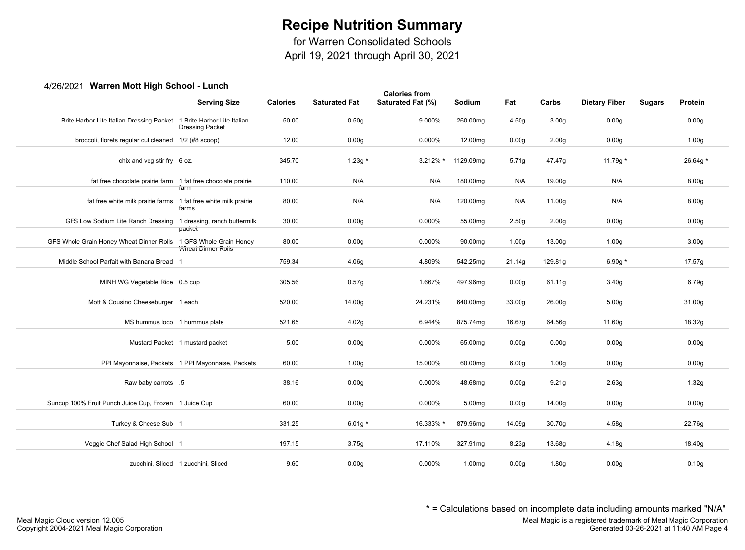for Warren Consolidated Schools

April 19, 2021 through April 30, 2021

#### 4/26/2021 **Warren Mott High School - Lunch**

| 2021 - Warron Mou Ingh Ochoor                                         |                                                   |                 |                      | <b>Calories from</b> |                    |                   |                   |                      |               |                   |
|-----------------------------------------------------------------------|---------------------------------------------------|-----------------|----------------------|----------------------|--------------------|-------------------|-------------------|----------------------|---------------|-------------------|
|                                                                       | <b>Serving Size</b>                               | <b>Calories</b> | <b>Saturated Fat</b> | Saturated Fat (%)    | Sodium             | Fat               | Carbs             | <b>Dietary Fiber</b> | <b>Sugars</b> | Protein           |
| Brite Harbor Lite Italian Dressing Packet 1 Brite Harbor Lite Italian | <b>Dressing Packet</b>                            | 50.00           | 0.50g                | 9.000%               | 260.00mg           | 4.50g             | 3.00 <sub>g</sub> | 0.00 <sub>g</sub>    |               | 0.00g             |
| broccoli, florets regular cut cleaned 1/2 (#8 scoop)                  |                                                   | 12.00           | 0.00 <sub>g</sub>    | 0.000%               | 12.00mg            | 0.00 <sub>g</sub> | 2.00 <sub>g</sub> | 0.00 <sub>g</sub>    |               | 1.00 <sub>g</sub> |
| chix and veg stir fry 6 oz.                                           |                                                   | 345.70          | $1.23g *$            | $3.212\%$ *          | 1129.09mg          | 5.71g             | 47.47g            | 11.79g $*$           |               | 26.64g *          |
| fat free chocolate prairie farm 1 fat free chocolate prairie          |                                                   | 110.00          | N/A                  | N/A                  | 180.00mg           | N/A               | 19.00g            | N/A                  |               | 8.00g             |
| fat free white milk prairie farms 1 fat free white milk prairie       | farm                                              | 80.00           | N/A                  | N/A                  | 120.00mg           | N/A               | 11.00g            | N/A                  |               | 8.00g             |
| GFS Low Sodium Lite Ranch Dressing 1 dressing, ranch buttermilk       | farms                                             | 30.00           | 0.00 <sub>g</sub>    | 0.000%               | 55.00mg            | 2.50 <sub>g</sub> | 2.00 <sub>g</sub> | 0.00 <sub>g</sub>    |               | 0.00 <sub>g</sub> |
| GFS Whole Grain Honey Wheat Dinner Rolls 1 GFS Whole Grain Honey      | packet                                            | 80.00           | 0.00 <sub>g</sub>    | 0.000%               | 90.00mg            | 1.00 <sub>g</sub> | 13.00g            | 1.00 <sub>g</sub>    |               | 3.00 <sub>g</sub> |
| Middle School Parfait with Banana Bread 1                             | <b>Wheat Dinner Rolls</b>                         | 759.34          | 4.06g                | 4.809%               | 542.25mg           | 21.14g            | 129.81g           | 6.90g $*$            |               | 17.57g            |
| MINH WG Vegetable Rice 0.5 cup                                        |                                                   | 305.56          | 0.57g                | 1.667%               | 497.96mg           | 0.00 <sub>g</sub> | 61.11g            | 3.40g                |               | 6.79g             |
| Mott & Cousino Cheeseburger 1 each                                    |                                                   | 520.00          | 14.00g               | 24.231%              | 640.00mg           | 33.00g            | 26.00g            | 5.00 <sub>g</sub>    |               | 31.00g            |
| MS hummus loco 1 hummus plate                                         |                                                   | 521.65          | 4.02g                | 6.944%               | 875.74mg           | 16.67g            | 64.56g            | 11.60g               |               | 18.32g            |
|                                                                       | Mustard Packet 1 mustard packet                   | 5.00            | 0.00 <sub>g</sub>    | 0.000%               | 65.00mg            | 0.00 <sub>g</sub> | 0.00 <sub>g</sub> | 0.00 <sub>g</sub>    |               | 0.00 <sub>g</sub> |
|                                                                       | PPI Mayonnaise, Packets 1 PPI Mayonnaise, Packets | 60.00           | 1.00 <sub>g</sub>    | 15.000%              | 60.00mg            | 6.00q             | 1.00 <sub>q</sub> | 0.00q                |               | 0.00 <sub>g</sub> |
| Raw baby carrots .5                                                   |                                                   | 38.16           | 0.00 <sub>g</sub>    | 0.000%               | 48.68mg            | 0.00 <sub>g</sub> | 9.21 <sub>g</sub> | 2.63g                |               | 1.32g             |
| Suncup 100% Fruit Punch Juice Cup, Frozen 1 Juice Cup                 |                                                   | 60.00           | 0.00 <sub>g</sub>    | 0.000%               | 5.00mg             | 0.00 <sub>g</sub> | 14.00g            | 0.00 <sub>g</sub>    |               | 0.00g             |
| Turkey & Cheese Sub 1                                                 |                                                   | 331.25          | 6.01g $*$            | 16.333% *            | 879.96mg           | 14.09g            | 30.70g            | 4.58g                |               | 22.76g            |
| Veggie Chef Salad High School 1                                       |                                                   | 197.15          | 3.75g                | 17.110%              | 327.91mg           | 8.23g             | 13.68g            | 4.18g                |               | 18.40g            |
|                                                                       | zucchini, Sliced 1 zucchini, Sliced               | 9.60            | 0.00q                | 0.000%               | 1.00 <sub>mq</sub> | 0.00 <sub>g</sub> | 1.80g             | 0.00 <sub>g</sub>    |               | 0.10 <sub>g</sub> |

\* = Calculations based on incomplete data including amounts marked "N/A"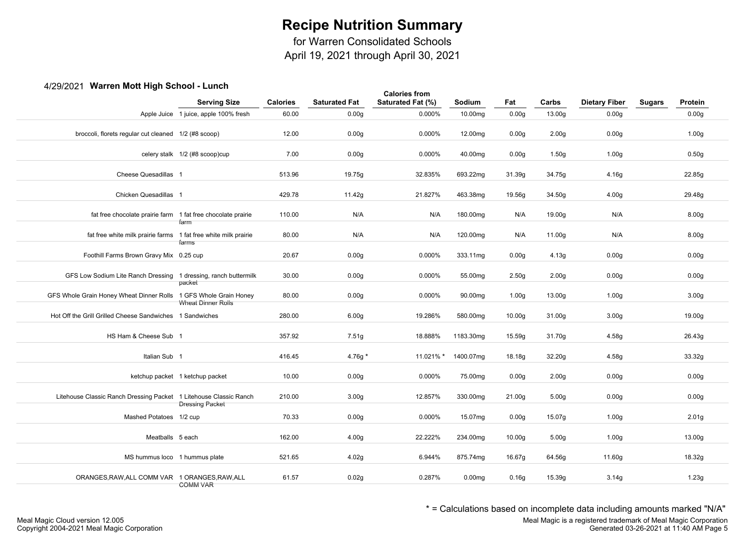for Warren Consolidated Schools

April 19, 2021 through April 30, 2021

### 4/29/2021 **Warren Mott High School - Lunch**

| $\pi$ 201202 + warron montring room of $\pi$                      | <b>Serving Size</b>                   | <b>Calories</b> | <b>Saturated Fat</b> | <b>Calories from</b><br>Saturated Fat (%) | Sodium             | Fat               | Carbs             | <b>Dietary Fiber</b> | <b>Sugars</b> | Protein           |
|-------------------------------------------------------------------|---------------------------------------|-----------------|----------------------|-------------------------------------------|--------------------|-------------------|-------------------|----------------------|---------------|-------------------|
|                                                                   | Apple Juice 1 juice, apple 100% fresh | 60.00           | 0.00 <sub>g</sub>    | 0.000%                                    | 10.00mg            | 0.00 <sub>g</sub> | 13.00g            | 0.00 <sub>g</sub>    |               | 0.00 <sub>g</sub> |
| broccoli, florets regular cut cleaned 1/2 (#8 scoop)              |                                       | 12.00           | 0.00 <sub>g</sub>    | 0.000%                                    | 12.00mg            | 0.00 <sub>g</sub> | 2.00 <sub>g</sub> | 0.00 <sub>g</sub>    |               | 1.00 <sub>g</sub> |
|                                                                   | celery stalk 1/2 (#8 scoop)cup        | 7.00            | 0.00 <sub>g</sub>    | 0.000%                                    | 40.00mg            | 0.00 <sub>g</sub> | 1.50g             | 1.00 <sub>g</sub>    |               | 0.50g             |
| Cheese Quesadillas 1                                              |                                       | 513.96          | 19.75g               | 32.835%                                   | 693.22mg           | 31.39g            | 34.75g            | 4.16g                |               | 22.85g            |
| Chicken Quesadillas 1                                             |                                       | 429.78          | 11.42g               | 21.827%                                   | 463.38mg           | 19.56g            | 34.50g            | 4.00 <sub>g</sub>    |               | 29.48g            |
| fat free chocolate prairie farm 1 fat free chocolate prairie      | farm                                  | 110.00          | N/A                  | N/A                                       | 180.00mg           | N/A               | 19.00g            | N/A                  |               | 8.00 <sub>g</sub> |
| fat free white milk prairie farms 1 fat free white milk prairie   | farms                                 | 80.00           | N/A                  | N/A                                       | 120.00mg           | N/A               | 11.00g            | N/A                  |               | 8.00 <sub>g</sub> |
| Foothill Farms Brown Gravy Mix 0.25 cup                           |                                       | 20.67           | 0.00 <sub>g</sub>    | 0.000%                                    | 333.11mg           | 0.00 <sub>g</sub> | 4.13g             | 0.00 <sub>g</sub>    |               | 0.00 <sub>g</sub> |
| GFS Low Sodium Lite Ranch Dressing 1 dressing, ranch buttermilk   | packet                                | 30.00           | 0.00 <sub>g</sub>    | 0.000%                                    | 55.00mg            | 2.50 <sub>g</sub> | 2.00 <sub>g</sub> | 0.00 <sub>g</sub>    |               | 0.00 <sub>g</sub> |
| GFS Whole Grain Honey Wheat Dinner Rolls 1 GFS Whole Grain Honey  | Wheat Dinner Rolls                    | 80.00           | 0.00 <sub>g</sub>    | 0.000%                                    | 90.00mg            | 1.00 <sub>g</sub> | 13.00g            | 1.00 <sub>g</sub>    |               | 3.00 <sub>g</sub> |
| Hot Off the Grill Grilled Cheese Sandwiches 1 Sandwiches          |                                       | 280.00          | 6.00 <sub>g</sub>    | 19.286%                                   | 580.00mg           | 10.00g            | 31.00g            | 3.00 <sub>g</sub>    |               | 19.00g            |
| HS Ham & Cheese Sub 1                                             |                                       | 357.92          | 7.51g                | 18.888%                                   | 1183.30mg          | 15.59g            | 31.70g            | 4.58g                |               | 26.43g            |
| Italian Sub 1                                                     |                                       | 416.45          | 4.76g *              | 11.021% *                                 | 1400.07mg          | 18.18g            | 32.20g            | 4.58g                |               | 33.32g            |
|                                                                   | ketchup packet 1 ketchup packet       | 10.00           | 0.00 <sub>g</sub>    | 0.000%                                    | 75.00mg            | 0.00 <sub>g</sub> | 2.00 <sub>g</sub> | 0.00 <sub>g</sub>    |               | 0.00 <sub>g</sub> |
| Litehouse Classic Ranch Dressing Packet 1 Litehouse Classic Ranch | <b>Dressing Packet</b>                | 210.00          | 3.00 <sub>g</sub>    | 12.857%                                   | 330.00mg           | 21.00g            | 5.00 <sub>g</sub> | 0.00 <sub>g</sub>    |               | 0.00 <sub>g</sub> |
| Mashed Potatoes 1/2 cup                                           |                                       | 70.33           | 0.00 <sub>g</sub>    | 0.000%                                    | 15.07mg            | 0.00 <sub>g</sub> | 15.07g            | 1.00 <sub>g</sub>    |               | 2.01 <sub>g</sub> |
| Meatballs 5 each                                                  |                                       | 162.00          | 4.00 <sub>g</sub>    | 22.222%                                   | 234.00mg           | 10.00g            | 5.00 <sub>g</sub> | 1.00 <sub>g</sub>    |               | 13.00g            |
| MS hummus loco 1 hummus plate                                     |                                       | 521.65          | 4.02g                | 6.944%                                    | 875.74mg           | 16.67g            | 64.56g            | 11.60g               |               | 18.32g            |
| ORANGES, RAW, ALL COMM VAR 1 ORANGES, RAW, ALL                    | <b>COMM VAR</b>                       | 61.57           | 0.02g                | 0.287%                                    | 0.00 <sub>mg</sub> | 0.16g             | 15.39g            | 3.14g                |               | 1.23g             |
|                                                                   |                                       |                 |                      |                                           |                    |                   |                   |                      |               |                   |

\* = Calculations based on incomplete data including amounts marked "N/A"

Meal Magic is a registered trademark of Meal Magic Corporation Generated 03-26-2021 at 11:40 AM Page 5